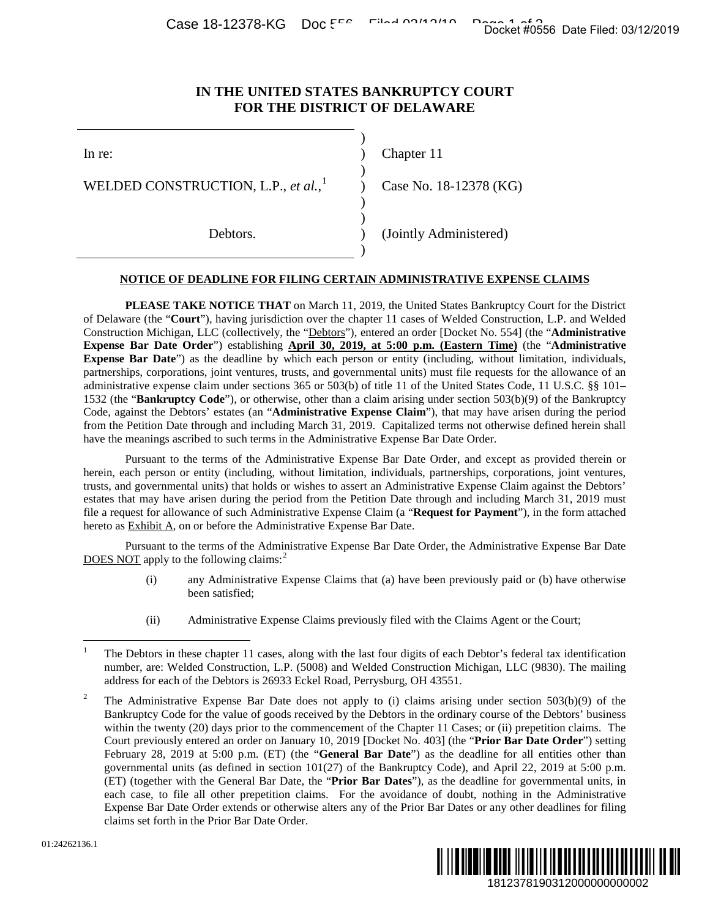Case 18-12378-KG Doc 556 Filed 03/12/2019

## **IN THE UNITED STATES BANKRUPTCY COURT FOR THE DISTRICT OF DELAWARE**

)

)

)

)

)

| ×<br>۹<br>×<br>۰. |
|-------------------|

WELDED CONSTRUCTION, L.P., *et al.*,<sup>[1](#page-0-0)</sup>

Chapter 11

Case No. 18-12378 (KG)

Debtors. (Jointly Administered)

### **NOTICE OF DEADLINE FOR FILING CERTAIN ADMINISTRATIVE EXPENSE CLAIMS**

**PLEASE TAKE NOTICE THAT** on March 11, 2019, the United States Bankruptcy Court for the District of Delaware (the "**Court**"), having jurisdiction over the chapter 11 cases of Welded Construction, L.P. and Welded Construction Michigan, LLC (collectively, the "Debtors"), entered an order [Docket No. 554] (the "**Administrative Expense Bar Date Order**") establishing **April 30, 2019, at 5:00 p.m. (Eastern Time)** (the "**Administrative Expense Bar Date**") as the deadline by which each person or entity (including, without limitation, individuals, partnerships, corporations, joint ventures, trusts, and governmental units) must file requests for the allowance of an administrative expense claim under sections 365 or 503(b) of title 11 of the United States Code, 11 U.S.C. §§ 101– 1532 (the "**Bankruptcy Code**"), or otherwise, other than a claim arising under section 503(b)(9) of the Bankruptcy Code, against the Debtors' estates (an "**Administrative Expense Claim**"), that may have arisen during the period from the Petition Date through and including March 31, 2019. Capitalized terms not otherwise defined herein shall have the meanings ascribed to such terms in the Administrative Expense Bar Date Order. Docket #0556 Date Filed: 03/12/2019<br>
URT<br>
URT<br>
URT<br>
URT<br>
URT<br>
2018<br>
2018<br>
2018<br>
2018<br>
2018<br>
2018<br>
2018<br>
2018<br>
2018<br>
2018<br>
2018<br>
2019 (the "Administrative<br>
<u>Time</u>) (the "Administrative<br>
<u>Time</u>) (the "Administrative<br>
<u>Time</u>

Pursuant to the terms of the Administrative Expense Bar Date Order, and except as provided therein or herein, each person or entity (including, without limitation, individuals, partnerships, corporations, joint ventures, trusts, and governmental units) that holds or wishes to assert an Administrative Expense Claim against the Debtors' estates that may have arisen during the period from the Petition Date through and including March 31, 2019 must file a request for allowance of such Administrative Expense Claim (a "**Request for Payment**"), in the form attached hereto as Exhibit A, on or before the Administrative Expense Bar Date.

Pursuant to the terms of the Administrative Expense Bar Date Order, the Administrative Expense Bar Date DOES NOT apply to the following claims:<sup>[2](#page-0-1)</sup>

- (i) any Administrative Expense Claims that (a) have been previously paid or (b) have otherwise been satisfied;
- (ii) Administrative Expense Claims previously filed with the Claims Agent or the Court;

<span id="page-0-1"></span><sup>2</sup> The Administrative Expense Bar Date does not apply to (i) claims arising under section 503(b)(9) of the Bankruptcy Code for the value of goods received by the Debtors in the ordinary course of the Debtors' business within the twenty (20) days prior to the commencement of the Chapter 11 Cases; or (ii) prepetition claims. The Court previously entered an order on January 10, 2019 [Docket No. 403] (the "**Prior Bar Date Order**") setting February 28, 2019 at 5:00 p.m. (ET) (the "**General Bar Date**") as the deadline for all entities other than governmental units (as defined in section 101(27) of the Bankruptcy Code), and April 22, 2019 at 5:00 p.m. (ET) (together with the General Bar Date, the "**Prior Bar Dates**"), as the deadline for governmental units, in each case, to file all other prepetition claims. For the avoidance of doubt, nothing in the Administrative Expense Bar Date Order extends or otherwise alters any of the Prior Bar Dates or any other deadlines for filing claims set forth in the Prior Bar Date Order.



<span id="page-0-0"></span> <sup>1</sup> The Debtors in these chapter 11 cases, along with the last four digits of each Debtor's federal tax identification number, are: Welded Construction, L.P. (5008) and Welded Construction Michigan, LLC (9830). The mailing address for each of the Debtors is 26933 Eckel Road, Perrysburg, OH 43551.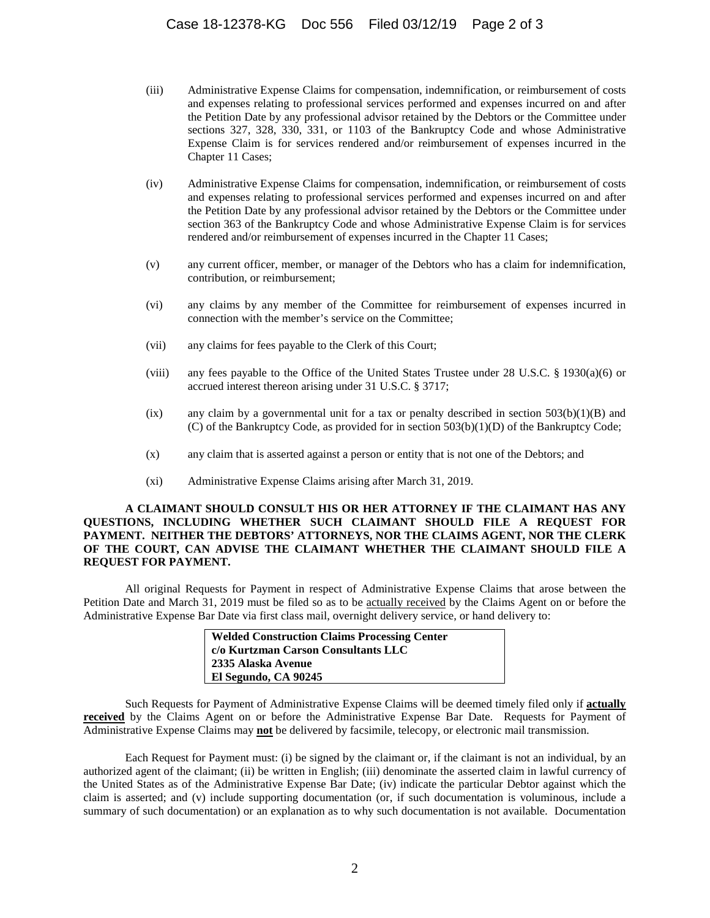- (iii) Administrative Expense Claims for compensation, indemnification, or reimbursement of costs and expenses relating to professional services performed and expenses incurred on and after the Petition Date by any professional advisor retained by the Debtors or the Committee under sections 327, 328, 330, 331, or 1103 of the Bankruptcy Code and whose Administrative Expense Claim is for services rendered and/or reimbursement of expenses incurred in the Chapter 11 Cases;
- (iv) Administrative Expense Claims for compensation, indemnification, or reimbursement of costs and expenses relating to professional services performed and expenses incurred on and after the Petition Date by any professional advisor retained by the Debtors or the Committee under section 363 of the Bankruptcy Code and whose Administrative Expense Claim is for services rendered and/or reimbursement of expenses incurred in the Chapter 11 Cases;
- (v) any current officer, member, or manager of the Debtors who has a claim for indemnification, contribution, or reimbursement;
- (vi) any claims by any member of the Committee for reimbursement of expenses incurred in connection with the member's service on the Committee;
- (vii) any claims for fees payable to the Clerk of this Court;
- (viii) any fees payable to the Office of the United States Trustee under 28 U.S.C. § 1930(a)(6) or accrued interest thereon arising under 31 U.S.C. § 3717;
- (ix) any claim by a governmental unit for a tax or penalty described in section  $503(b)(1)(B)$  and (C) of the Bankruptcy Code, as provided for in section 503(b)(1)(D) of the Bankruptcy Code;
- (x) any claim that is asserted against a person or entity that is not one of the Debtors; and
- (xi) Administrative Expense Claims arising after March 31, 2019.

#### **A CLAIMANT SHOULD CONSULT HIS OR HER ATTORNEY IF THE CLAIMANT HAS ANY QUESTIONS, INCLUDING WHETHER SUCH CLAIMANT SHOULD FILE A REQUEST FOR PAYMENT. NEITHER THE DEBTORS' ATTORNEYS, NOR THE CLAIMS AGENT, NOR THE CLERK OF THE COURT, CAN ADVISE THE CLAIMANT WHETHER THE CLAIMANT SHOULD FILE A REQUEST FOR PAYMENT.**

All original Requests for Payment in respect of Administrative Expense Claims that arose between the Petition Date and March 31, 2019 must be filed so as to be actually received by the Claims Agent on or before the Administrative Expense Bar Date via first class mail, overnight delivery service, or hand delivery to:

| <b>Welded Construction Claims Processing Center</b> |  |
|-----------------------------------------------------|--|
| c/o Kurtzman Carson Consultants LLC                 |  |
| 2335 Alaska Avenue                                  |  |
| El Segundo, CA 90245                                |  |
|                                                     |  |

Such Requests for Payment of Administrative Expense Claims will be deemed timely filed only if **actually received** by the Claims Agent on or before the Administrative Expense Bar Date. Requests for Payment of Administrative Expense Claims may **not** be delivered by facsimile, telecopy, or electronic mail transmission.

Each Request for Payment must: (i) be signed by the claimant or, if the claimant is not an individual, by an authorized agent of the claimant; (ii) be written in English; (iii) denominate the asserted claim in lawful currency of the United States as of the Administrative Expense Bar Date; (iv) indicate the particular Debtor against which the claim is asserted; and (v) include supporting documentation (or, if such documentation is voluminous, include a summary of such documentation) or an explanation as to why such documentation is not available. Documentation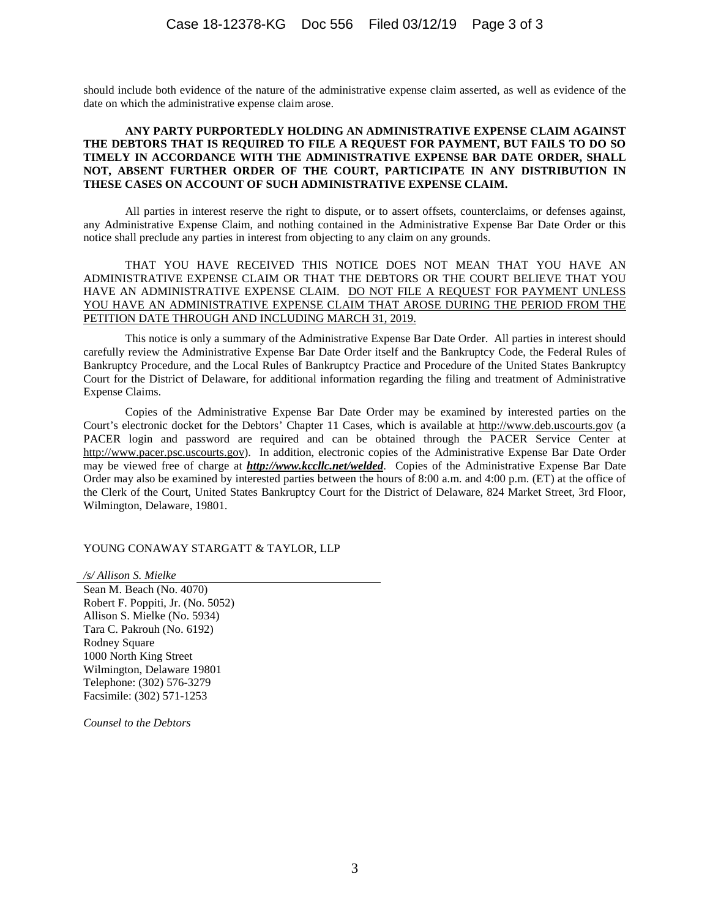should include both evidence of the nature of the administrative expense claim asserted, as well as evidence of the date on which the administrative expense claim arose.

#### **ANY PARTY PURPORTEDLY HOLDING AN ADMINISTRATIVE EXPENSE CLAIM AGAINST THE DEBTORS THAT IS REQUIRED TO FILE A REQUEST FOR PAYMENT, BUT FAILS TO DO SO TIMELY IN ACCORDANCE WITH THE ADMINISTRATIVE EXPENSE BAR DATE ORDER, SHALL NOT, ABSENT FURTHER ORDER OF THE COURT, PARTICIPATE IN ANY DISTRIBUTION IN THESE CASES ON ACCOUNT OF SUCH ADMINISTRATIVE EXPENSE CLAIM.**

All parties in interest reserve the right to dispute, or to assert offsets, counterclaims, or defenses against, any Administrative Expense Claim, and nothing contained in the Administrative Expense Bar Date Order or this notice shall preclude any parties in interest from objecting to any claim on any grounds.

#### THAT YOU HAVE RECEIVED THIS NOTICE DOES NOT MEAN THAT YOU HAVE AN ADMINISTRATIVE EXPENSE CLAIM OR THAT THE DEBTORS OR THE COURT BELIEVE THAT YOU HAVE AN ADMINISTRATIVE EXPENSE CLAIM. DO NOT FILE A REQUEST FOR PAYMENT UNLESS YOU HAVE AN ADMINISTRATIVE EXPENSE CLAIM THAT AROSE DURING THE PERIOD FROM THE PETITION DATE THROUGH AND INCLUDING MARCH 31, 2019.

This notice is only a summary of the Administrative Expense Bar Date Order. All parties in interest should carefully review the Administrative Expense Bar Date Order itself and the Bankruptcy Code, the Federal Rules of Bankruptcy Procedure, and the Local Rules of Bankruptcy Practice and Procedure of the United States Bankruptcy Court for the District of Delaware, for additional information regarding the filing and treatment of Administrative Expense Claims.

Copies of the Administrative Expense Bar Date Order may be examined by interested parties on the Court's electronic docket for the Debtors' Chapter 11 Cases, which is available at http://www.deb.uscourts.gov (a PACER login and password are required and can be obtained through the PACER Service Center at http://www.pacer.psc.uscourts.gov). In addition, electronic copies of the Administrative Expense Bar Date Order may be viewed free of charge at *http://www.kccllc.net/welded*. Copies of the Administrative Expense Bar Date Order may also be examined by interested parties between the hours of 8:00 a.m. and 4:00 p.m. (ET) at the office of the Clerk of the Court, United States Bankruptcy Court for the District of Delaware, 824 Market Street, 3rd Floor, Wilmington, Delaware, 19801.

#### YOUNG CONAWAY STARGATT & TAYLOR, LLP

*/s/ Allison S. Mielke* Sean M. Beach (No. 4070) Robert F. Poppiti, Jr. (No. 5052) Allison S. Mielke (No. 5934) Tara C. Pakrouh (No. 6192) Rodney Square 1000 North King Street Wilmington, Delaware 19801 Telephone: (302) 576-3279 Facsimile: (302) 571-1253

*Counsel to the Debtors*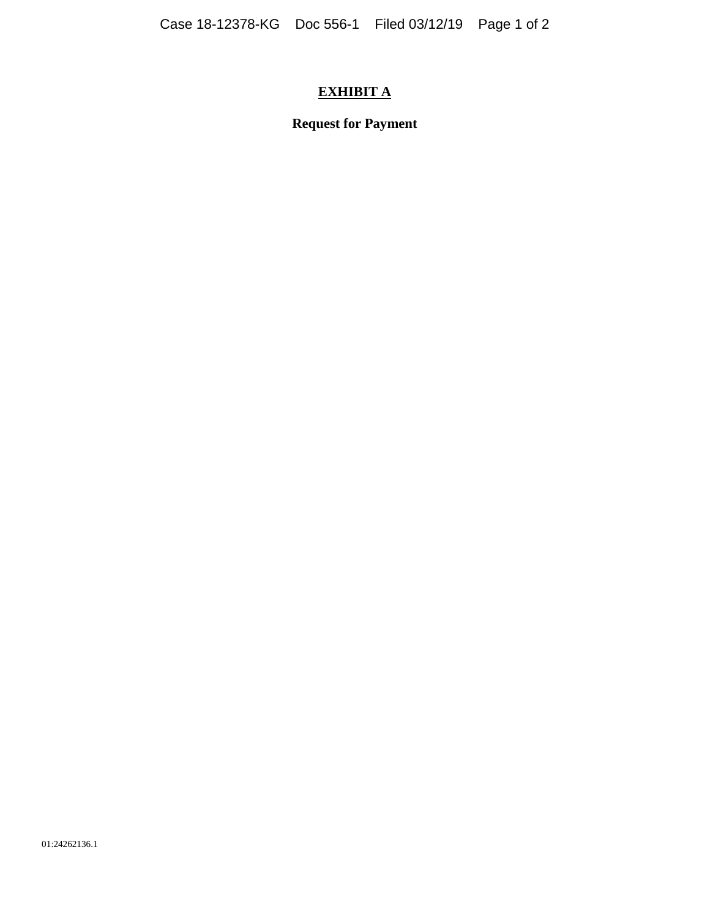# **EXHIBIT A**

**Request for Payment**